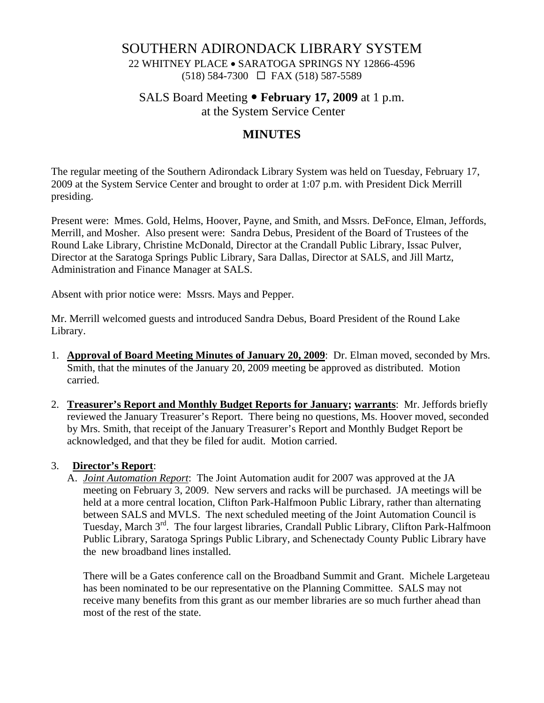## SOUTHERN ADIRONDACK LIBRARY SYSTEM

22 WHITNEY PLACE • SARATOGA SPRINGS NY 12866-4596 (518) 584-7300 FAX (518) 587-5589

SALS Board Meeting • **February 17, 2009** at 1 p.m.

at the System Service Center

# **MINUTES**

The regular meeting of the Southern Adirondack Library System was held on Tuesday, February 17, 2009 at the System Service Center and brought to order at 1:07 p.m. with President Dick Merrill presiding.

Present were: Mmes. Gold, Helms, Hoover, Payne, and Smith, and Mssrs. DeFonce, Elman, Jeffords, Merrill, and Mosher. Also present were: Sandra Debus, President of the Board of Trustees of the Round Lake Library, Christine McDonald, Director at the Crandall Public Library, Issac Pulver, Director at the Saratoga Springs Public Library, Sara Dallas, Director at SALS, and Jill Martz, Administration and Finance Manager at SALS.

Absent with prior notice were: Mssrs. Mays and Pepper.

Mr. Merrill welcomed guests and introduced Sandra Debus, Board President of the Round Lake Library.

- 1. **Approval of Board Meeting Minutes of January 20, 2009**: Dr. Elman moved, seconded by Mrs. Smith, that the minutes of the January 20, 2009 meeting be approved as distributed. Motion carried.
- 2. **Treasurer's Report and Monthly Budget Reports for January; warrants**: Mr. Jeffords briefly reviewed the January Treasurer's Report. There being no questions, Ms. Hoover moved, seconded by Mrs. Smith, that receipt of the January Treasurer's Report and Monthly Budget Report be acknowledged, and that they be filed for audit. Motion carried.

#### 3. **Director's Report**:

A. *Joint Automation Report*: The Joint Automation audit for 2007 was approved at the JA meeting on February 3, 2009. New servers and racks will be purchased. JA meetings will be held at a more central location, Clifton Park-Halfmoon Public Library, rather than alternating between SALS and MVLS. The next scheduled meeting of the Joint Automation Council is Tuesday, March 3<sup>rd</sup>. The four largest libraries, Crandall Public Library, Clifton Park-Halfmoon Public Library, Saratoga Springs Public Library, and Schenectady County Public Library have the new broadband lines installed.

There will be a Gates conference call on the Broadband Summit and Grant. Michele Largeteau has been nominated to be our representative on the Planning Committee. SALS may not receive many benefits from this grant as our member libraries are so much further ahead than most of the rest of the state.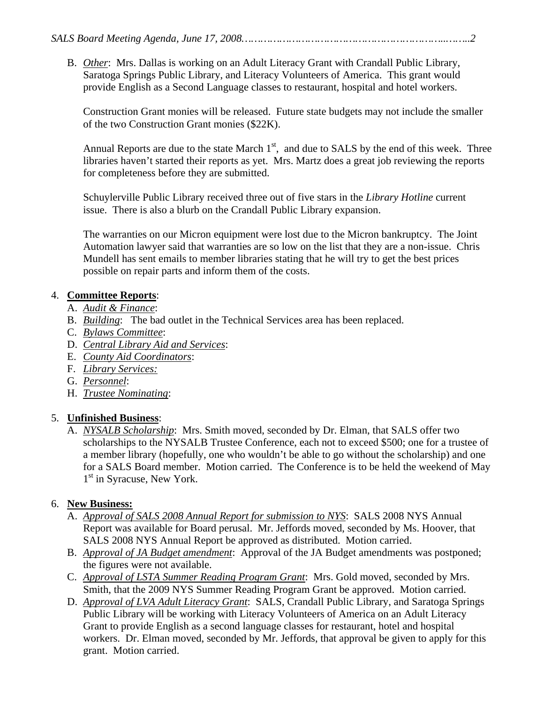B. *Other*: Mrs. Dallas is working on an Adult Literacy Grant with Crandall Public Library, Saratoga Springs Public Library, and Literacy Volunteers of America. This grant would provide English as a Second Language classes to restaurant, hospital and hotel workers.

Construction Grant monies will be released. Future state budgets may not include the smaller of the two Construction Grant monies (\$22K).

Annual Reports are due to the state March  $1<sup>st</sup>$ , and due to SALS by the end of this week. Three libraries haven't started their reports as yet. Mrs. Martz does a great job reviewing the reports for completeness before they are submitted.

Schuylerville Public Library received three out of five stars in the *Library Hotline* current issue. There is also a blurb on the Crandall Public Library expansion.

The warranties on our Micron equipment were lost due to the Micron bankruptcy. The Joint Automation lawyer said that warranties are so low on the list that they are a non-issue. Chris Mundell has sent emails to member libraries stating that he will try to get the best prices possible on repair parts and inform them of the costs.

#### 4. **Committee Reports**:

- A. *Audit & Finance*:
- B. *Building*: The bad outlet in the Technical Services area has been replaced.
- C. *Bylaws Committee*:
- D. *Central Library Aid and Services*:
- E. *County Aid Coordinators*:
- F. *Library Services:*
- G. *Personnel*:
- H. *Trustee Nominating*:

#### 5. **Unfinished Business**:

A. *NYSALB Scholarship*: Mrs. Smith moved, seconded by Dr. Elman, that SALS offer two scholarships to the NYSALB Trustee Conference, each not to exceed \$500; one for a trustee of a member library (hopefully, one who wouldn't be able to go without the scholarship) and one for a SALS Board member. Motion carried. The Conference is to be held the weekend of May 1<sup>st</sup> in Syracuse, New York.

#### 6. **New Business:**

- A. *Approval of SALS 2008 Annual Report for submission to NYS*: SALS 2008 NYS Annual Report was available for Board perusal. Mr. Jeffords moved, seconded by Ms. Hoover, that SALS 2008 NYS Annual Report be approved as distributed. Motion carried.
- B. *Approval of JA Budget amendment*: Approval of the JA Budget amendments was postponed; the figures were not available.
- C. *Approval of LSTA Summer Reading Program Grant*: Mrs. Gold moved, seconded by Mrs. Smith, that the 2009 NYS Summer Reading Program Grant be approved. Motion carried.
- D. *Approval of LVA Adult Literacy Grant*: SALS, Crandall Public Library, and Saratoga Springs Public Library will be working with Literacy Volunteers of America on an Adult Literacy Grant to provide English as a second language classes for restaurant, hotel and hospital workers. Dr. Elman moved, seconded by Mr. Jeffords, that approval be given to apply for this grant. Motion carried.